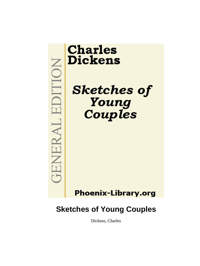

# **Sketches of Young Couples**

Dickens, Charles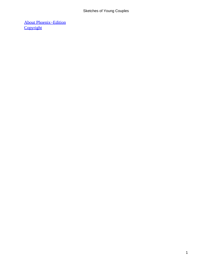[About Phoenix−Edition](#page-37-0) **[Copyright](#page-38-0)**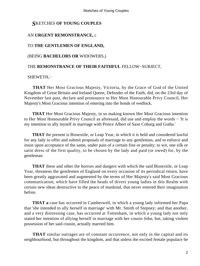#### *S*KETCHES **OF YOUNG COUPLES**

#### AN **URGENT REMONSTRANCE,** c

#### TO **THE GENTLEMEN OF ENGLAND,**

#### (BEING **BACHELORS OR** WIDOWERS,)

#### THE **REMONSTRANCE OF THEIR FAITHFUL** FELLOW−SUBJECT,

#### SHEWETH,−

**THAT** Her Most Gracious Majesty, Victoria, by the Grace of God of the United Kingdom of Great Britain and Ireland Queen, Defender of the Faith, did, on the 23rd day of November last past, declare and pronounce to Her Most Honourable Privy Council, Her Majesty's Most Gracious intention of entering into the bonds of wedlock.

**THAT** Her Most Gracious Majesty, in so making known Her Most Gracious intention to Her Most Honourable Privy Council as aforesaid, did use and employ the words − 'It is my intention to ally myself in marriage with Prince Albert of Saxe Coburg and Gotha.'

**THAT** the present is Bissextile, or Leap Year, in which it is held and considered lawful for any lady to offer and submit proposals of marriage to any gentleman, and to enforce and insist upon acceptance of the same, under pain of a certain fine or penalty; to wit, one silk or satin dress of the first quality, to be chosen by the lady and paid (or owed) for, by the gentleman.

**THAT** these and other the horrors and dangers with which the said Bissextile, or Leap Year, threatens the gentlemen of England on every occasion of its periodical return, have been greatly aggravated and augmented by the terms of Her Majesty's said Most Gracious communication, which have filled the heads of divers young ladies in this Realm with certain new ideas destructive to the peace of mankind, that never entered their imagination before.

**THAT a** case has occurred in Camberwell, in which a young lady informed her Papa that 'she intended to ally herself in marriage' with Mr. Smith of Stepney; and that another, and a very distressing case, has occurred at Tottenham, in which a young lady not only stated her intention of allying herself in marriage with her cousin John, but, taking violent possession of her said cousin, actually married him.

**THAT** similar outrages are of constant occurrence, not only in the capital and its neighbourhood, but throughout the kingdom, and that unless the excited female populace be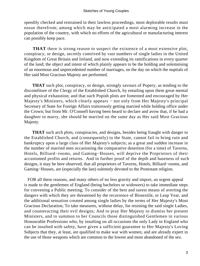speedily checked and restrained in their lawless proceedings, most deplorable results must ensue therefrom; among which may be anticipated a most alarming increase in the population of the country, with which no efforts of the agricultural or manufacturing interest can possibly keep pace.

**THAT** there is strong reason to suspect the existence of a most extensive plot, conspiracy, or design, secretly contrived by vast numbers of single ladies in the United Kingdom of Great Britain and Ireland, and now extending its ramifications in every quarter of the land; the object and intent of which plainly appears to be the holding and solemnising of an enormous and unprecedented number of marriages, on the day on which the nuptials of Her said Most Gracious Majesty are performed.

**THAT** such plot, conspiracy, or design, strongly savours of Popery, as tending to the discomfiture of the Clergy of the Established Church, by entailing upon them great mental and physical exhaustion; and that such Popish plots are fomented and encouraged by Her Majesty's Ministers, which clearly appears − not only from Her Majesty's principal Secretary of State for Foreign Affairs traitorously getting married while holding office under the Crown; but from Mr. O'Connell having been heard to declare and avow that, if he had a daughter to marry, she should be married on the same day as Her said Most Gracious Majesty.

**THAT** such arch plots, conspiracies, and designs, besides being fraught with danger to the Established Church, and (consequently) to the State, cannot fail to bring ruin and bankruptcy upon a large class of Her Majesty's subjects; as a great and sudden increase in the number of married men occasioning the comparative desertion (for a time) of Taverns, Hotels, Billiard−rooms, and Gaming−Houses, will deprive the Proprietors of their accustomed profits and returns. And in further proof of the depth and baseness of such designs, it may be here observed, that all proprietors of Taverns, Hotels, Billiard−rooms, and Gaming−Houses, are (especially the last) solemnly devoted to the Protestant religion.

 FOR all these reasons, and many others of no less gravity and import, an urgent appeal is made to the gentlemen of England (being bachelors or widowers) to take immediate steps for convening a Public meeting; To consider of the best and surest means of averting the dangers with which they are threatened by the recurrence of Bissextile, or Leap Year, and the additional sensation created among single ladies by the terms of Her Majesty's Most Gracious Declaration; To take measures, without delay, for resisting the said single Ladies, and counteracting their evil designs; And to pray Her Majesty to dismiss her present Ministers, and to summon to her Councils those distinguished Gentlemen in various Honourable Professions who, by insulting on all occasions the only Lady in England who can be insulted with safety, have given a sufficient guarantee to Her Majesty's Loving Subjects that they, at least, are qualified to make war with women, and are already expert in the use of those weapons which are common to the lowest and most abandoned of the sex.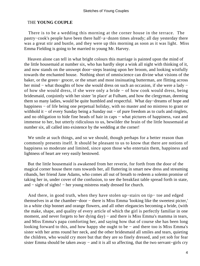#### THE **YOUNG COUPLE**

 There is to be a wedding this morning at the corner house in the terrace. The pastry−cook's people have been there half−a−dozen times already; all day yesterday there was a great stir and bustle, and they were up this morning as soon as it was light. Miss Emma Fielding is going to be married to young Mr. Harvey.

 Heaven alone can tell in what bright colours this marriage is painted upon the mind of the little housemaid at number six, who has hardly slept a wink all night with thinking of it, and now stands on the unswept door−steps leaning upon her broom, and looking wistfully towards the enchanted house. Nothing short of omniscience can divine what visions of the baker, or the green− grocer, or the smart and most insinuating butterman, are flitting across her mind – what thoughts of how she would dress on such an occasion, if she were a lady – of how she would dress, if she were only a bride − of how cook would dress, being bridesmaid, conjointly with her sister 'in place' at Fulham, and how the clergyman, deeming them so many ladies, would be quite humbled and respectful. What day−dreams of hope and happiness − of life being one perpetual holiday, with no master and no mistress to grant or withhold it – of every Sunday being a Sunday out – of pure freedom as to curls and ringlets, and no obligation to hide fine heads of hair in caps – what pictures of happiness, vast and immense to her, but utterly ridiculous to us, bewilder the brain of the little housemaid at number six, all called into existence by the wedding at the corner!

We smile at such things, and so we should, though perhaps for a better reason than commonly presents itself. It should be pleasant to us to know that there are notions of happiness so moderate and limited, since upon those who entertain them, happiness and lightness of heart are very easily bestowed.

 But the little housemaid is awakened from her reverie, for forth from the door of the magical corner house there runs towards her, all fluttering in smart new dress and streaming ribands, her friend Jane Adams, who comes all out of breath to redeem a solemn promise of taking her in, under cover of the confusion, to see the breakfast table spread forth in state, and − sight of sights! − her young mistress ready dressed for church.

 And there, in good truth, when they have stolen up−stairs on tip− toe and edged themselves in at the chamber−door − there is Miss Emma 'looking like the sweetest picter,' in a white chip bonnet and orange flowers, and all other elegancies becoming a bride, (with the make, shape, and quality of every article of which the girl is perfectly familiar in one moment, and never forgets to her dying day) – and there is Miss Emma's mamma in tears, and Miss Emma's papa comforting her, and saying how that of course she has been long looking forward to this, and how happy she ought to be − and there too is Miss Emma's sister with her arms round her neck, and the other bridesmaid all smiles and tears, quieting the children, who would cry more but that they are so finely dressed, and yet sob for fear sister Emma should be taken away – and it is all so affecting, that the two servant–girls cry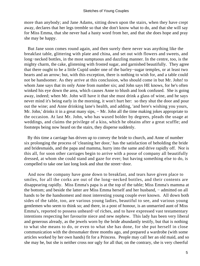more than anybody; and Jane Adams, sitting down upon the stairs, when they have crept away, declares that her legs tremble so that she don't know what to do, and that she will say for Miss Emma, that she never had a hasty word from her, and that she does hope and pray she may be happy.

 But Jane soon comes round again, and then surely there never was anything like the breakfast table, glittering with plate and china, and set out with flowers and sweets, and long−necked bottles, in the most sumptuous and dazzling manner. In the centre, too, is the mighty charm, the cake, glistening with frosted sugar, and garnished beautifully. They agree that there ought to be a little Cupid under one of the barley−sugar temples, or at least two hearts and an arrow; but, with this exception, there is nothing to wish for, and a table could not be handsomer. As they arrive at this conclusion, who should come in but Mr. John! to whom Jane says that its only Anne from number six; and John says HE knows, for he's often winked his eye down the area, which causes Anne to blush and look confused. She is going away, indeed; when Mr. John will have it that she must drink a glass of wine, and he says never mind it's being early in the morning, it won't hurt her: so they shut the door and pour out the wine; and Anne drinking lane's health, and adding, 'and here's wishing you yours, Mr. John,' drinks it in a great many sips, − Mr. John all the time making jokes appropriate to the occasion. At last Mr. John, who has waxed bolder by degrees, pleads the usage at weddings, and claims the privilege of a kiss, which he obtains after a great scuffle; and footsteps being now heard on the stairs, they disperse suddenly.

 By this time a carriage has driven up to convey the bride to church, and Anne of number six prolonging the process of 'cleaning her door,' has the satisfaction of beholding the bride and bridesmaids, and the papa and mamma, hurry into the same and drive rapidly off. Nor is this all, for soon other carriages begin to arrive with a posse of company all beautifully dressed, at whom she could stand and gaze for ever; but having something else to do, is compelled to take one last long look and shut the street−door.

 And now the company have gone down to breakfast, and tears have given place to smiles, for all the corks are out of the long−necked bottles, and their contents are disappearing rapidly. Miss Emma's papa is at the top of the table; Miss Emma's mamma at the bottom; and beside the latter are Miss Emma herself and her husband, − admitted on all hands to be the handsomest and most interesting young couple ever known. All down both sides of the table, too, are various young ladies, beautiful to see, and various young gentlemen who seem to think so; and there, in a post of honour, is an unmarried aunt of Miss Emma's, reported to possess unheard−of riches, and to have expressed vast testamentary intentions respecting her favourite niece and new nephew. This lady has been very liberal and generous already, as the jewels worn by the bride abundantly testify, but that is nothing to what she means to do, or even to what she has done, for she put herself in close communication with the dressmaker three months ago, and prepared a wardrobe (with some articles worked by her own hands) fit for a Princess. People may call her an old maid, and so she may be, but she is neither cross nor ugly for all that; on the contrary, she is very cheerful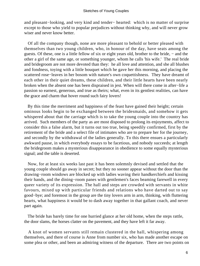and pleasant−looking, and very kind and tender− hearted: which is no matter of surprise except to those who yield to popular prejudices without thinking why, and will never grow wiser and never know better.

 Of all the company though, none are more pleasant to behold or better pleased with themselves than two young children, who, in honour of the day, have seats among the guests. Of these, one is a little fellow of six or eight years old, brother to the bride, − and the other a girl of the same age, or something younger, whom he calls 'his wife.' The real bride and bridegroom are not more devoted than they: he all love and attention, and she all blushes and fondness, toying with a little bouquet which he gave her this morning, and placing the scattered rose−leaves in her bosom with nature's own coquettishness. They have dreamt of each other in their quiet dreams, these children, and their little hearts have been nearly broken when the absent one has been dispraised in jest. When will there come in after−life a passion so earnest, generous, and true as theirs; what, even in its gentlest realities, can have the grace and charm that hover round such fairy lovers!

 By this time the merriment and happiness of the feast have gained their height; certain ominous looks begin to be exchanged between the bridesmaids, and somehow it gets whispered about that the carriage which is to take the young couple into the country has arrived. Such members of the party as are most disposed to prolong its enjoyments, affect to consider this a false alarm, but it turns out too true, being speedily confirmed, first by the retirement of the bride and a select file of intimates who are to prepare her for the journey, and secondly by the withdrawal of the ladies generally. To this there ensues a particularly awkward pause, in which everybody essays to be facetious, and nobody succeeds; at length the bridegroom makes a mysterious disappearance in obedience to some equally mysterious signal; and the table is deserted.

 Now, for at least six weeks last past it has been solemnly devised and settled that the young couple should go away in secret; but they no sooner appear without the door than the drawing−room windows are blocked up with ladies waving their handkerchiefs and kissing their hands, and the dining−room panes with gentlemen's faces beaming farewell in every queer variety of its expression. The hall and steps are crowded with servants in white favours, mixed up with particular friends and relations who have darted out to say good−bye; and foremost in the group are the tiny lovers arm in arm, thinking, with fluttering hearts, what happiness it would be to dash away together in that gallant coach, and never part again.

 The bride has barely time for one hurried glance at her old home, when the steps rattle, the door slams, the horses clatter on the pavement, and they have left it far away.

 A knot of women servants still remain clustered in the hall, whispering among themselves, and there of course is Anne from number six, who has made another escape on some plea or other, and been an admiring witness of the departure. There are two points on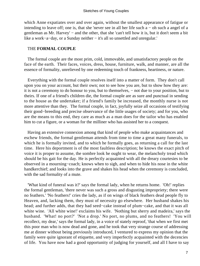which Anne expatiates over and over again, without the smallest appearance of fatigue or intending to leave off; one is, that she 'never see in all her life such a − oh such a angel of a gentleman as Mr. Harvey' – and the other, that she 'can't tell how it is, but it don't seem a bit like a work−a−day, or a Sunday neither − it's all so unsettled and unregular.'

#### THE **FORMAL COUPLE**

 The formal couple are the most prim, cold, immovable, and unsatisfactory people on the face of the earth. Their faces, voices, dress, house, furniture, walk, and manner, are all the essence of formality, unrelieved by one redeeming touch of frankness, heartiness, or nature.

 Everything with the formal couple resolves itself into a matter of form. They don't call upon you on your account, but their own; not to see how you are, but to show how they are: it is not a ceremony to do honour to you, but to themselves, − not due to your position, but to theirs. If one of a friend's children die, the formal couple are as sure and punctual in sending to the house as the undertaker; if a friend's family be increased, the monthly nurse is not more attentive than they. The formal couple, in fact, joyfully seize all occasions of testifying their good−breeding and precise observance of the little usages of society; and for you, who are the means to this end, they care as much as a man does for the tailor who has enabled him to cut a figure, or a woman for the milliner who has assisted her to a conquest.

 Having an extensive connexion among that kind of people who make acquaintances and eschew friends, the formal gentleman attends from time to time a great many funerals, to which he is formally invited, and to which he formally goes, as returning a call for the last time. Here his deportment is of the most faultless description; he knows the exact pitch of voice it is proper to assume, the sombre look he ought to wear, the melancholy tread which should be his gait for the day. He is perfectly acquainted with all the dreary courtesies to be observed in a mourning−coach; knows when to sigh, and when to hide his nose in the white handkerchief; and looks into the grave and shakes his head when the ceremony is concluded, with the sad formality of a mute.

 'What kind of funeral was it?' says the formal lady, when he returns home. 'Oh!' replies the formal gentleman, 'there never was such a gross and disgusting impropriety; there were no feathers.' 'No feathers!' cries the lady, as if on wings of black feathers dead people fly to Heaven, and, lacking them, they must of necessity go elsewhere. Her husband shakes his head; and further adds, that they had seed−cake instead of plum−cake, and that it was all white wine. 'All white wine!' exclaims his wife. 'Nothing but sherry and madeira,' says the husband. 'What! no port?' 'Not a drop.' No port, no plums, and no feathers! 'You will recollect, my dear,' says the formal lady, in a voice of stately reproof, 'that when we first met this poor man who is now dead and gone, and he took that very strange course of addressing me at dinner without being previously introduced, I ventured to express my opinion that the family were quite ignorant of etiquette, and very imperfectly acquainted with the decencies of life. You have now had a good opportunity of judging for yourself, and all I have to say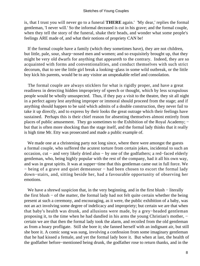is, that I trust you will never go to a funeral **THERE** again.' 'My dear,' replies the formal gentleman, 'I never will.' So the informal deceased is cut in his grave; and the formal couple, when they tell the story of the funeral, shake their heads, and wonder what some people's feelings ARE made of, and what their notions of propriety CAN be!

 If the formal couple have a family (which they sometimes have), they are not children, but little, pale, sour, sharp−nosed men and women; and so exquisitely brought up, that they might be very old dwarfs for anything that appeareth to the contrary. Indeed, they are so acquainted with forms and conventionalities, and conduct themselves with such strict decorum, that to see the little girl break a looking−glass in some wild outbreak, or the little boy kick his parents, would be to any visitor an unspeakable relief and consolation.

 The formal couple are always sticklers for what is rigidly proper, and have a great readiness in detecting hidden impropriety of speech or thought, which by less scrupulous people would be wholly unsuspected. Thus, if they pay a visit to the theatre, they sit all night in a perfect agony lest anything improper or immoral should proceed from the stage; and if anything should happen to be said which admits of a double construction, they never fail to take it up directly, and to express by their looks the great outrage which their feelings have sustained. Perhaps this is their chief reason for absenting themselves almost entirely from places of public amusement. They go sometimes to the Exhibition of the Royal Academy; – but that is often more shocking than the stage itself, and the formal lady thinks that it really is high time Mr. Etty was prosecuted and made a public example of.

 We made one at a christening party not long since, where there were amongst the guests a formal couple, who suffered the acutest torture from certain jokes, incidental to such an occasion, cut − and very likely dried also − by one of the godfathers; a red−faced elderly gentleman, who, being highly popular with the rest of the company, had it all his own way, and was in great spirits. It was at supper−time that this gentleman came out in full force. We − being of a grave and quiet demeanour − had been chosen to escort the formal lady down−stairs, and, sitting beside her, had a favourable opportunity of observing her emotions.

We have a shrewd suspicion that, in the very beginning, and in the first blush – literally the first blush − of the matter, the formal lady had not felt quite certain whether the being present at such a ceremony, and encouraging, as it were, the public exhibition of a baby, was not an act involving some degree of indelicacy and impropriety; but certain we are that when that baby's health was drunk, and allusions were made, by a grey−headed gentleman proposing it, to the time when he had dandled in his arms the young Christian's mother, − certain we are that then the formal lady took the alarm, and recoiled from the old gentleman as from a hoary profligate. Still she bore it; she fanned herself with an indignant air, but still she bore it. A comic song was sung, involving a confession from some imaginary gentleman that he had kissed a female, and yet the formal lady bore it. But when at last, the health of the godfather before−mentioned being drunk, the godfather rose to return thanks, and in the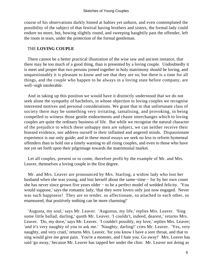course of his observations darkly hinted at babies yet unborn, and even contemplated the possibility of the subject of that festival having brothers and sisters, the formal lady could endure no more, but, bowing slightly round, and sweeping haughtily past the offender, left the room in tears, under the protection of the formal gentleman.

#### THE **LOVING COUPLE**

 There cannot be a better practical illustration of the wise saw and ancient instance, that there may be too much of a good thing, than is presented by a loving couple. Undoubtedly it is meet and proper that two persons joined together in holy matrimony should be loving, and unquestionably it is pleasant to know and see that they are so; but there is a time for all things, and the couple who happen to be always in a loving state before company, are well−nigh intolerable.

 And in taking up this position we would have it distinctly understood that we do not seek alone the sympathy of bachelors, in whose objection to loving couples we recognise interested motives and personal considerations. We grant that to that unfortunate class of society there may be something very irritating, tantalising, and provoking, in being compelled to witness those gentle endearments and chaste interchanges which to loving couples are quite the ordinary business of life. But while we recognise the natural character of the prejudice to which these unhappy men are subject, we can neither receive their biassed evidence, nor address ourself to their inflamed and angered minds. Dispassionate experience is our only guide; and in these moral essays we seek no less to reform hymeneal offenders than to hold out a timely warning to all rising couples, and even to those who have not yet set forth upon their pilgrimage towards the matrimonial market.

 Let all couples, present or to come, therefore profit by the example of Mr. and Mrs. Leaver, themselves a loving couple in the first degree.

 Mr. and Mrs. Leaver are pronounced by Mrs. Starling, a widow lady who lost her husband when she was young, and lost herself about the same−time − for by her own count she has never since grown five years older − to be a perfect model of wedded felicity. 'You would suppose,' says the romantic lady, 'that they were lovers only just now engaged. Never was such happiness! They are so tender, so affectionate, so attached to each other, so enamoured, that positively nothing can be more charming!'

 'Augusta, my soul,' says Mr. Leaver. 'Augustus, my life,' replies Mrs. Leaver. 'Sing some little ballad, darling,' quoth Mr. Leaver. 'I couldn't, indeed, dearest,' returns Mrs. Leaver. 'Do, my dove,' says Mr. Leaver. 'I couldn't possibly, my love,' replies Mrs. Leaver; 'and it's very naughty of you to ask me.' 'Naughty, darling!' cries Mr. Leaver. 'Yes, very naughty, and very cruel,' returns Mrs. Leaver, 'for you know I have a sore throat, and that to sing would give me great pain. You're a monster, and I hate you. Go away!' Mrs. Leaver has said 'go away,' because Mr. Leaver has tapped her under the chin: Mr. Leaver not doing as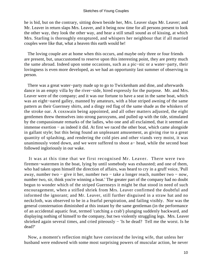he is bid, but on the contrary, sitting down beside her, Mrs. Leaver slaps Mr. Leaver; and Mr. Leaver in return slaps Mrs. Leaver, and it being now time for all persons present to look the other way, they look the other way, and hear a still small sound as of kissing, at which Mrs. Starling is thoroughly enraptured, and whispers her neighbour that if all married couples were like that, what a heaven this earth would be!

 The loving couple are at home when this occurs, and maybe only three or four friends are present, but, unaccustomed to reserve upon this interesting point, they are pretty much the same abroad. Indeed upon some occasions, such as a pic−nic or a water−party, their lovingness is even more developed, as we had an opportunity last summer of observing in person.

 There was a great water−party made up to go to Twickenham and dine, and afterwards dance in an empty villa by the river−side, hired expressly for the purpose. Mr. and Mrs. Leaver were of the company; and it was our fortune to have a seat in the same boat, which was an eight−oared galley, manned by amateurs, with a blue striped awning of the same pattern as their Guernsey shirts, and a dingy red flag of the same shade as the whiskers of the stroke oar. A coxswain being appointed, and all other matters adjusted, the eight gentlemen threw themselves into strong paroxysms, and pulled up with the tide, stimulated by the compassionate remarks of the ladies, who one and all exclaimed, that it seemed an immense exertion − as indeed it did. At first we raced the other boat, which came alongside in gallant style; but this being found an unpleasant amusement, as giving rise to a great quantity of splashing, and rendering the cold pies and other viands very moist, it was unanimously voted down, and we were suffered to shoot a− head, while the second boat followed ingloriously in our wake.

 It was at this time that we first recognised Mr. Leaver. There were two firemen−watermen in the boat, lying by until somebody was exhausted; and one of them, who had taken upon himself the direction of affairs, was heard to cry in a gruff voice, 'Pull away, number two − give it her, number two − take a longer reach, number two − now, number two, sir, think you're winning a boat.' The greater part of the company had no doubt begun to wonder which of the striped Guernseys it might be that stood in need of such encouragement, when a stifled shriek from Mrs. Leaver confirmed the doubtful and informed the ignorant; and Mr. Leaver, still further disguised in a straw hat and no neckcloth, was observed to be in a fearful perspiration, and failing visibly. Nor was the general consternation diminished at this instant by the same gentleman (in the performance of an accidental aquatic feat, termed 'catching a crab') plunging suddenly backward, and displaying nothing of himself to the company, but two violently struggling legs. Mrs. Leaver shrieked again several times, and cried piteously − 'Is he dead? Tell me the worst. Is he dead?'

 Now, a moment's reflection might have convinced the loving wife, that unless her husband were endowed with some most surprising powers of muscular action, he never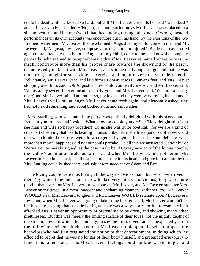could be dead while he kicked so hard; but still Mrs. Leaver cried, 'Is he dead? is he dead?' and still everybody else cried − 'No, no, no,' until such time as Mr. Leaver was replaced in a sitting posture, and his oar (which had been going through all kinds of wrong−headed performances on its own account) was once more put in his hand, by the exertions of the two firemen−watermen. Mr. Leaver then exclaimed, 'Augustus, my child, come to me;' and Mr. Leaver said, 'Augusta, my love, compose yourself, I am not injured.' But Mrs. Leaver cried again more piteously than before, 'Augustus, my child, come to me;' and now the company generally, who seemed to be apprehensive that if Mr. Leaver remained where he was, he might contribute more than his proper share towards the drowning of the party, disinterestedly took part with Mrs. Leaver, and said he really ought to go, and that he was not strong enough for such violent exercise, and ought never to have undertaken it. Reluctantly, Mr. Leaver went, and laid himself down at Mrs. Leaver's feet, and Mrs. Leaver stooping over him, said, 'Oh Augustus, how could you terrify me so?' and Mr. Leaver said, 'Augusta, my sweet, I never meant to terrify you;' and Mrs. Leaver said, 'You are faint, my dear;' and Mr. Leaver said, 'I am rather so, my love;' and they were very loving indeed under Mrs. Leaver's veil, until at length Mr. Leaver came forth again, and pleasantly asked if he had not heard something said about bottled stout and sandwiches.

 Mrs. Starling, who was one of the party, was perfectly delighted with this scene, and frequently murmured half−aside, 'What a loving couple you are!' or 'How delightful it is to see man and wife so happy together!' To us she was quite poetical, (for we are a kind of cousins,) observing that hearts beating in unison like that made life a paradise of sweets; and that when kindred creatures were drawn together by sympathies so fine and delicate, what more than mortal happiness did not our souls partake! To all this we answered 'Certainly,' or 'Very true,' or merely sighed, as the case might be. At every new act of the loving couple, the widow's admiration broke out afresh; and when Mrs. Leaver would not permit Mr. Leaver to keep his hat off, lest the sun should strike to his head, and give him a brain fever, Mrs. Starling actually shed tears, and said it reminded her of Adam and Eve.

 The loving couple were thus loving all the way to Twickenham, but when we arrived there (by which time the amateur crew looked very thirsty and vicious) they were more playful than ever, for Mrs. Leaver threw stones at Mr. Leaver, and Mr. Leaver ran after Mrs. Leaver on the grass, in a most innocent and enchanting manner. At dinner, too, Mr. Leaver **WOULD** steal Mrs. Leaver's tongue, and Mrs. Leaver **WOULD** retaliate upon Mr. Leaver's fowl; and when Mrs. Leaver was going to take some lobster salad, Mr. Leaver wouldn't let her have any, saying that it made her ill, and she was always sorry for it afterwards, which afforded Mrs. Leaver an opportunity of pretending to be cross, and showing many other prettinesses. But this was merely the smiling surface of their loves, not the mighty depths of the stream, down to which the company, to say the truth, dived rather unexpectedly, from the following accident. It chanced that Mr. Leaver took upon himself to propose the bachelors who had first originated the notion of that entertainment, in doing which, he affected to regret that he was no longer of their body himself, and pretended grievously to lament his fallen state. This Mrs. Leaver's feelings could not brook, even in jest, and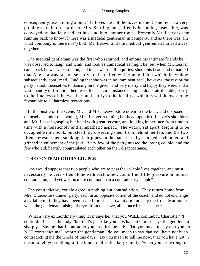consequently, exclaiming aloud, 'He loves me not, he loves me not!' she fell in a very pitiable state into the arms of Mrs. Starling, and, directly becoming insensible, was conveyed by that lady and her husband into another room. Presently Mr. Leaver came running back to know if there was a medical gentleman in company, and as there was, (in what company is there not?) both Mr. Leaver and the medical gentleman hurried away together.

 The medical gentleman was the first who returned, and among his intimate friends he was observed to laugh and wink, and look as unmedical as might be; but when Mr. Leaver came back he was very solemn, and in answer to all inquiries, shook his head, and remarked that Augusta was far too sensitive to be trifled with − an opinion which the widow subsequently confirmed. Finding that she was in no imminent peril, however, the rest of the party betook themselves to dancing on the green, and very merry and happy they were, and a vast quantity of flirtation there was; the last circumstance being no doubt attributable, partly to the fineness of the weather, and partly to the locality, which is well known to be favourable to all harmless recreations.

 In the bustle of the scene, Mr. and Mrs. Leaver stole down to the boat, and disposed themselves under the awning, Mrs. Leaver reclining her head upon Mr. Leaver's shoulder, and Mr. Leaver grasping her hand with great fervour, and looking in her face from time to time with a melancholy and sympathetic aspect. The widow sat apart, feigning to be occupied with a book, but stealthily observing them from behind her fan; and the two firemen−watermen, smoking their pipes on the bank hard by, nudged each other, and grinned in enjoyment of the joke. Very few of the party missed the loving couple; and the few who did, heartily congratulated each other on their disappearance.

#### THE **CONTRADICTORY COUPLE**

 One would suppose that two people who are to pass their whole lives together, and must necessarily be very often alone with each other, could find little pleasure in mutual contradiction; and yet what is more common than a contradictory couple?

 The contradictory couple agree in nothing but contradiction. They return home from Mrs. Bluebottle's dinner−party, each in an opposite corner of the coach, and do not exchange a syllable until they have been seated for at least twenty minutes by the fireside at home, when the gentleman, raising his eyes from the stove, all at once breaks silence:

 'What a very extraordinary thing it is,' says he, 'that you **WILL** contradict, Charlotte!' 'I contradict!' cries the lady, 'but that's just like you.' 'What's like me?' says the gentleman sharply. 'Saying that I contradict you,' replies the lady. 'Do you mean to say that you do NOT contradict me?' retorts the gentleman; 'do you mean to say that you have not been contradicting me the whole of this day?' 'Do you mean to tell me now, that you have not? I mean to tell you nothing of the kind,' replies the lady quietly; 'when you are wrong, of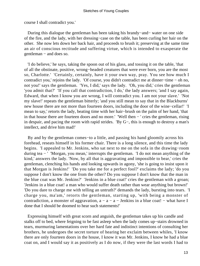course I shall contradict you.'

 During this dialogue the gentleman has been taking his brandy−and− water on one side of the fire, and the lady, with her dressing−case on the table, has been curling her hair on the other. She now lets down her back hair, and proceeds to brush it; preserving at the same time an air of conscious rectitude and suffering virtue, which is intended to exasperate the gentleman − and does so.

 'I do believe,' he says, taking the spoon out of his glass, and tossing it on the table, 'that of all the obstinate, positive, wrong−headed creatures that were ever born, you are the most so, Charlotte.' 'Certainly, certainly, have it your own way, pray. You see how much I contradict you,' rejoins the lady. 'Of course, you didn't contradict me at dinner−time − oh no, not you!' says the gentleman. 'Yes, I did,' says the lady. 'Oh, you did,' cries the gentleman 'you admit that?' 'If you call that contradiction, I do,' the lady answers; 'and I say again, Edward, that when I know you are wrong, I will contradict you. I am not your slave.' 'Not my slave!' repeats the gentleman bitterly; 'and you still mean to say that in the Blackburns' new house there are not more than fourteen doors, including the door of the wine−cellar!' 'I mean to say,' retorts the lady, beating time with her hair−brush on the palm of her hand, 'that in that house there are fourteen doors and no more.' 'Well then − ' cries the gentleman, rising in despair, and pacing the room with rapid strides. 'By G−, this is enough to destroy a man's intellect, and drive him mad!'

 By and by the gentleman comes−to a little, and passing his hand gloomily across his forehead, reseats himself in his former chair. There is a long silence, and this time the lady begins. 'I appealed to Mr. Jenkins, who sat next to me on the sofa in the drawing−room during tea − ' 'Morgan, you mean,' interrupts the gentleman. 'I do not mean anything of the kind,' answers the lady. 'Now, by all that is aggravating and impossible to bear,' cries the gentleman, clenching his hands and looking upwards in agony, 'she is going to insist upon it that Morgan is Jenkins!' 'Do you take me for a perfect fool?' exclaims the lady; 'do you suppose I don't know the one from the other? Do you suppose I don't know that the man in the blue coat was Mr. Jenkins?' 'Jenkins in a blue coat!' cries the gentleman with a groan; 'Jenkins in a blue coat! a man who would suffer death rather than wear anything but brown!' 'Do you dare to charge me with telling an untruth?' demands the lady, bursting into tears. 'I charge you, ma'am,' retorts the gentleman, starting up, 'with being a monster of contradiction, a monster of aggravation,  $a - a - a -$  Jenkins in a blue coat! – what have I done that I should be doomed to hear such statements!'

 Expressing himself with great scorn and anguish, the gentleman takes up his candle and stalks off to bed, where feigning to be fast asleep when the lady comes up−stairs drowned in tears, murmuring lamentations over her hard fate and indistinct intentions of consulting her brothers, he undergoes the secret torture of hearing her exclaim between whiles, 'I know there are only fourteen doors in the house, I know it was Mr. Jenkins, I know he had a blue coat on, and I would say it as positively as I do now, if they were the last words I had to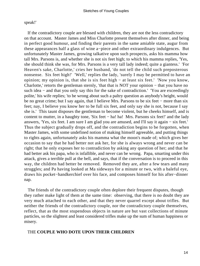#### speak!'

 If the contradictory couple are blessed with children, they are not the less contradictory on that account. Master James and Miss Charlotte present themselves after dinner, and being in perfect good humour, and finding their parents in the same amiable state, augur from these appearances half a glass of wine a−piece and other extraordinary indulgences. But unfortunately Master James, growing talkative upon such prospects, asks his mamma how tall Mrs. Parsons is, and whether she is not six feet high; to which his mamma replies, 'Yes, she should think she was, for Mrs. Parsons is a very tall lady indeed; quite a giantess.' 'For Heaven's sake, Charlotte,' cries her husband, 'do not tell the child such preposterous nonsense. Six feet high!' 'Well,' replies the lady, 'surely I may be permitted to have an opinion; my opinion is, that she is six feet high − at least six feet.' 'Now you know, Charlotte,' retorts the gentleman sternly, 'that that is NOT your opinion − that you have no such idea – and that you only say this for the sake of contradiction.' 'You are exceedingly polite,' his wife replies; 'to be wrong about such a paltry question as anybody's height, would be no great crime; but I say again, that I believe Mrs. Parsons to be six feet − more than six feet; nay, I believe you know her to be full six feet, and only say she is not, because I say she is.' This taunt disposes the gentleman to become violent, but he cheeks himself, and is content to mutter, in a haughty tone, 'Six feet − ha! ha! Mrs. Parsons six feet!' and the lady answers, 'Yes, six feet. I am sure I am glad you are amused, and I'll say it again − six feet.' Thus the subject gradually drops off, and the contradiction begins to be forgotten, when Master James, with some undefined notion of making himself agreeable, and putting things to rights again, unfortunately asks his mamma what the moon's made of; which gives her occasion to say that he had better not ask her, for she is always wrong and never can be right; that he only exposes her to contradiction by asking any question of her; and that he had better ask his papa, who is infallible, and never can be wrong. Papa, smarting under this attack, gives a terrible pull at the bell, and says, that if the conversation is to proceed in this way, the children had better be removed. Removed they are, after a few tears and many struggles; and Pa having looked at Ma sideways for a minute or two, with a baleful eye, draws his pocket−handkerchief over his face, and composes himself for his after−dinner nap.

 The friends of the contradictory couple often deplore their frequent disputes, though they rather make light of them at the same time: observing, that there is no doubt they are very much attached to each other, and that they never quarrel except about trifles. But neither the friends of the contradictory couple, nor the contradictory couple themselves, reflect, that as the most stupendous objects in nature are but vast collections of minute particles, so the slightest and least considered trifles make up the sum of human happiness or misery.

#### THE **COUPLE WHO DOTE UPON THEIR CHILDREN**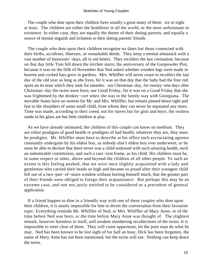The couple who dote upon their children have usually a great many of them: six or eight at least. The children are either the healthiest in all the world, or the most unfortunate in existence. In either case, they are equally the theme of their doting parents, and equally a source of mental anguish and irritation to their doting parents' friends.

 The couple who dote upon their children recognise no dates but those connected with their births, accidents, illnesses, or remarkable deeds. They keep a mental almanack with a vast number of Innocents'−days, all in red letters. They recollect the last coronation, because on that day little Tom fell down the kitchen stairs; the anniversary of the Gunpowder Plot, because it was on the fifth of November that Ned asked whether wooden legs were made in heaven and cocked hats grew in gardens. Mrs. Whiffler will never cease to recollect the last day of the old year as long as she lives, for it was on that day that the baby had the four red spots on its nose which they took for measles: nor Christmas−day, for twenty−one days after Christmas−day the twins were born; nor Good Friday, for it was on a Good Friday that she was frightened by the donkey−cart when she was in the family way with Georgiana. The movable feasts have no motion for Mr. and Mrs. Whiffler, but remain pinned down tight and fast to the shoulders of some small child, from whom they can never be separated any more. Time was made, according to their creed, not for slaves but for girls and boys; the restless sands in his glass are but little children at play.

 As we have already intimated, the children of this couple can know no medium. They are either prodigies of good health or prodigies of bad health; whatever they are, they must be prodigies. Mr. Whiffler must have to describe at his office such excruciating agonies constantly undergone by his eldest boy, as nobody else's eldest boy ever underwent; or he must be able to declare that there never was a child endowed with such amazing health, such an indomitable constitution, and such a cast−iron frame, as his child. His children must be, in some respect or other, above and beyond the children of all other people. To such an extent is this feeling pushed, that we were once slightly acquainted with a lady and gentleman who carried their heads so high and became so proud after their youngest child fell out of a two−pair−of−stairs window without hurting himself much, that the greater part of their friends were obliged to forego their acquaintance. But perhaps this may be an extreme case, and one not justly entitled to be considered as a precedent of general application.

 If a friend happen to dine in a friendly way with one of these couples who dote upon their children, it is nearly impossible for him to divert the conversation from their favourite topic. Everything reminds Mr. Whiffler of Ned, or Mrs. Whiffler of Mary Anne, or of the time before Ned was born, or the time before Mary Anne was thought of. The slightest remark, however harmless in itself, will awaken slumbering recollections of the twins. It is impossible to steer clear of them. They will come uppermost, let the poor man do what he may. Ned has been known to be lost sight of for half an hour, Dick has been forgotten, the name of Mary Anne has not been mentioned, but the twins will out. Nothing can keep down the twins.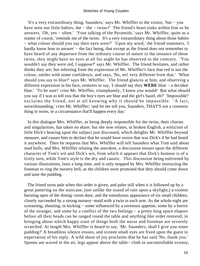'It's a very extraordinary thing, Saunders,' says Mr. Whiffler to the visitor, 'but − you have seen our little babies, the − the − twins?' The friend's heart sinks within him as he answers, 'Oh, yes − often.' 'Your talking of the Pyramids,' says Mr. Whiffler, quite as a matter of course, 'reminds me of the twins. It's a very extraordinary thing about those babies − what colour should you say their eyes were?' 'Upon my word,' the friend stammers, 'I hardly know how to answer' – the fact being, that except as the friend does not remember to have heard of any departure from the ordinary course of nature in the instance of these twins, they might have no eyes at all for aught he has observed to the contrary. 'You wouldn't say they were red, I suppose?' says Mr. Whiffler. The friend hesitates, and rather thinks they are; but inferring from the expression of Mr. Whiffler's face that red is not the colour, smiles with some confidence, and says, 'No, no! very different from that.' 'What should you say to blue?' says Mr. Whiffler. The friend glances at him, and observing a different expression in his face, ventures to say, 'I should say they **WERE** blue − a decided blue.' 'To be sure!' cries Mr. Whiffler, triumphantly, 'I knew you would! But what should you say if I was to tell you that the boy's eyes are blue and the girl's hazel, eh?' 'Impossible!' exclaims the friend, not at all knowing why it should be impossible. 'A fact, notwithstanding,' cries Mr. Whiffler; 'and let me tell you, Saunders, THAT'S not a common thing in twins, or a circumstance that'll happen every day.'

 In this dialogue Mrs. Whiffler, as being deeply responsible for the twins, their charms and singularities, has taken no share; but she now relates, in broken English, a witticism of little Dick's bearing upon the subject just discussed, which delights Mr. Whiffler beyond measure, and causes him to declare that he would have sworn that was Dick's if he had heard it anywhere. Then he requests that Mrs. Whiffler will tell Saunders what Tom said about mad bulls; and Mrs. Whiffler relating the anecdote, a discussion ensues upon the different character of Tom's wit and Dick's wit, from which it appears that Dick's humour is of a lively turn, while Tom's style is the dry and caustic. This discussion being enlivened by various illustrations, lasts a long time, and is only stopped by Mrs. Whiffler instructing the footman to ring the nursery bell, as the children were promised that they should come down and taste the pudding.

 The friend turns pale when this order is given, and paler still when it is followed up by a great pattering on the staircase, (not unlike the sound of rain upon a skylight,) a violent bursting open of the dining−room door, and the tumultuous appearance of six small children, closely succeeded by a strong nursery−maid with a twin in each arm. As the whole eight are screaming, shouting, or kicking − some influenced by a ravenous appetite, some by a horror of the stranger, and some by a conflict of the two feelings − a pretty long space elapses before all their heads can be ranged round the table and anything like order restored; in bringing about which happy state of things both the nurse and footman are severely scratched. At length Mrs. Whiffler is heard to say, 'Mr. Saunders, shall I give you some pudding?' A breathless silence ensues, and sixteen small eyes are fixed upon the guest in expectation of his reply. A wild shout of joy proclaims that he has said 'No, thank you.' Spoons are waved in the air, legs appear above the table− cloth in uncontrollable ecstasy,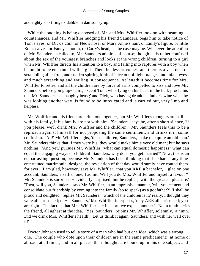and eighty short fingers dabble in damson syrup.

 While the pudding is being disposed of, Mr. and Mrs. Whiffler look on with beaming countenances, and Mr. Whiffler nudging his friend Saunders, begs him to take notice of Tom's eyes, or Dick's chin, or Ned's nose, or Mary Anne's hair, or Emily's figure, or little Bob's calves, or Fanny's mouth, or Carry's head, as the case may be. Whatever the attention of Mr. Saunders is called to, Mr. Saunders admires of course; though he is rather confused about the sex of the youngest branches and looks at the wrong children, turning to a girl when Mr. Whiffler directs his attention to a boy, and falling into raptures with a boy when he ought to be enchanted with a girl. Then the dessert comes, and there is a vast deal of scrambling after fruit, and sudden spirting forth of juice out of tight oranges into infant eyes, and much screeching and wailing in consequence. At length it becomes time for Mrs. Whiffler to retire, and all the children are by force of arms compelled to kiss and love Mr. Saunders before going up−stairs, except Tom, who, lying on his back in the hall, proclaims that Mr. Saunders 'is a naughty beast;' and Dick, who having drunk his father's wine when he was looking another way, is found to be intoxicated and is carried out, very limp and helpless.

 Mr. Whiffler and his friend are left alone together, but Mr. Whiffler's thoughts are still with his family, if his family are not with him. 'Saunders,' says he, after a short silence, 'if you please, we'll drink Mrs. Whiffler and the children.' Mr. Saunders feels this to be a reproach against himself for not proposing the same sentiment, and drinks it in some confusion. 'Ah!' Mr. Whiffler sighs, 'these children, Saunders, make one quite an old man.' Mr. Saunders thinks that if they were his, they would make him a very old man; but he says nothing. 'And yet,' pursues Mr. Whiffler, 'what can equal domestic happiness? what can equal the engaging ways of children! Saunders, why don't you get married?' Now, this is an embarrassing question, because Mr. Saunders has been thinking that if he had at any time entertained matrimonial designs, the revelation of that day would surely have routed them for ever. 'I am glad, however,' says Mr. Whiffler, 'that you **ARE a** bachelor, − glad on one account, Saunders; a selfish one, I admit. Will you do Mrs. Whiffler and myself a favour?' Mr. Saunders is surprised − evidently surprised; but he replies, 'with the greatest pleasure.' 'Then, will you, Saunders,' says Mr. Whiffler, in an impressive manner, 'will you cement and consolidate our friendship by coming into the family (so to speak) as a godfather?' 'I shall be proud and delighted,' replies Mr. Saunders: 'which of the children is it? really, I thought they were all christened; or − ' 'Saunders,' Mr. Whiffler interposes, 'they ARE all christened; you are right. The fact is, that Mrs. Whiffler is − in short, we expect another.' 'Not a ninth!' cries the friend, all aghast at the idea. 'Yes, Saunders,' rejoins Mr. Whiffler, solemnly, 'a ninth. Did we drink Mrs. Whiffler's health? Let us drink it again, Saunders, and wish her well over it!'

 Doctor Johnson used to tell a story of a man who had but one idea, which was a wrong one. The couple who dote upon their children are in the same predicament: at home or abroad, at all times, and in all places, their thoughts are bound up in this one subject, and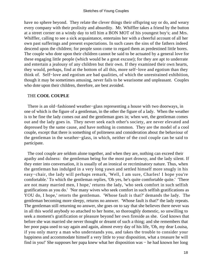have no sphere beyond. They relate the clever things their offspring say or do, and weary every company with their prolixity and absurdity. Mr. Whiffler takes a friend by the button at a street corner on a windy day to tell him a BON MOT of his youngest boy's; and Mrs. Whiffler, calling to see a sick acquaintance, entertains her with a cheerful account of all her own past sufferings and present expectations. In such cases the sins of the fathers indeed descend upon the children; for people soon come to regard them as predestined little bores. The couple who dote upon their children cannot be said to be actuated by a general love for these engaging little people (which would be a great excuse); for they are apt to underrate and entertain a jealousy of any children but their own. If they examined their own hearts, they would, perhaps, find at the bottom of all this, more self−love and egotism than they think of. Self−love and egotism are bad qualities, of which the unrestrained exhibition, though it may be sometimes amusing, never fails to be wearisome and unpleasant. Couples who dote upon their children, therefore, are best avoided.

#### THE **COOL COUPLE**

 There is an old−fashioned weather−glass representing a house with two doorways, in one of which is the figure of a gentleman, in the other the figure of a lady. When the weather is to be fine the lady comes out and the gentleman goes in; when wet, the gentleman comes out and the lady goes in. They never seek each other's society, are never elevated and depressed by the same cause, and have nothing in common. They are the model of a cool couple, except that there is something of politeness and consideration about the behaviour of the gentleman in the weather−glass, in which, neither of the cool couple can be said to participate.

 The cool couple are seldom alone together, and when they are, nothing can exceed their apathy and dulness: the gentleman being for the most part drowsy, and the lady silent. If they enter into conversation, it is usually of an ironical or recriminatory nature. Thus, when the gentleman has indulged in a very long yawn and settled himself more snugly in his easy−chair, the lady will perhaps remark, 'Well, I am sure, Charles! I hope you're comfortable.' To which the gentleman replies, 'Oh yes, he's quite comfortable quite.' 'There are not many married men, I hope,' returns the lady, 'who seek comfort in such selfish gratifications as you do.' 'Nor many wives who seek comfort in such selfish gratifications as YOU do, I hope,' retorts the gentleman. 'Whose fault is that?' demands the lady. The gentleman becoming more sleepy, returns no answer. 'Whose fault is that?' the lady repeats. The gentleman still returning no answer, she goes on to say that she believes there never was in all this world anybody so attached to her home, so thoroughly domestic, so unwilling to seek a moment's gratification or pleasure beyond her own fireside as she. God knows that before she was married she never thought or dreamt of such a thing; and she remembers that her poor papa used to say again and again, almost every day of his life, 'Oh, my dear Louisa, if you only marry a man who understands you, and takes the trouble to consider your happiness and accommodate himself a very little to your disposition, what a treasure he will find in you!' She supposes her papa knew what her disposition was − he had known her long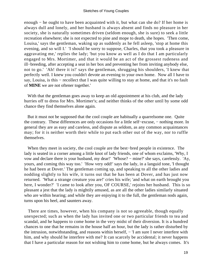enough − he ought to have been acquainted with it, but what can she do? If her home is always dull and lonely, and her husband is always absent and finds no pleasure in her society, she is naturally sometimes driven (seldom enough, she is sure) to seek a little recreation elsewhere; she is not expected to pine and mope to death, she hopes. 'Then come, Louisa,' says the gentleman, waking up as suddenly as he fell asleep, 'stop at home this evening, and so will I.' 'I should be sorry to suppose, Charles, that you took a pleasure in aggravating me,' replies the lady; 'but you know as well as I do that I am particularly engaged to Mrs. Mortimer, and that it would be an act of the grossest rudeness and ill−breeding, after accepting a seat in her box and preventing her from inviting anybody else, not to go.' 'Ah! there it is!' says the gentleman, shrugging his shoulders, 'I knew that perfectly well. I knew you couldn't devote an evening to your own home. Now all I have to say, Louisa, is this – recollect that I was quite willing to stay at home, and that it's no fault of **MINE** we are not oftener together.'

With that the gentleman goes away to keep an old appointment at his club, and the lady hurries off to dress for Mrs. Mortimer's; and neither thinks of the other until by some odd chance they find themselves alone again.

 But it must not be supposed that the cool couple are habitually a quarrelsome one. Quite the contrary. These differences are only occasions for a little self−excuse, − nothing more. In general they are as easy and careless, and dispute as seldom, as any common acquaintances may; for it is neither worth their while to put each other out of the way, nor to ruffle themselves.

 When they meet in society, the cool couple are the best−bred people in existence. The lady is seated in a corner among a little knot of lady friends, one of whom exclaims, 'Why, I vow and declare there is your husband, my dear!' 'Whose? − mine?' she says, carelessly. 'Ay, yours, and coming this way too.' 'How very odd!' says the lady, in a languid tone, 'I thought he had been at Dover.' The gentleman coming up, and speaking to all the other ladies and nodding slightly to his wife, it turns out that he has been at Dover, and has just now returned. 'What a strange creature you are!' cries his wife; 'and what on earth brought you here, I wonder?' 'I came to look after you, OF COURSE,' rejoins her husband. This is so pleasant a jest that the lady is mightily amused, as are all the other ladies similarly situated who are within hearing; and while they are enjoying it to the full, the gentleman nods again, turns upon his heel, and saunters away.

 There are times, however, when his company is not so agreeable, though equally unexpected; such as when the lady has invited one or two particular friends to tea and scandal, and he happens to come home in the very midst of their diversion. It is a hundred chances to one that he remains in the house half an hour, but the lady is rather disturbed by the intrusion, notwithstanding, and reasons within herself, − 'I am sure I never interfere with him, and why should he interfere with me? It can scarcely be accidental; it never happens that I have a particular reason for not wishing him to come home, but he always comes. It's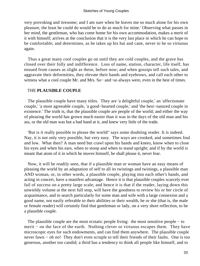very provoking and tiresome; and I am sure when he leaves me so much alone for his own pleasure, the least he could do would be to do as much for mine.' Observing what passes in her mind, the gentleman, who has come home for his own accommodation, makes a merit of it with himself; arrives at the conclusion that it is the very last place in which he can hope to be comfortable; and determines, as he takes up his hat and cane, never to be so virtuous again.

 Thus a great many cool couples go on until they are cold couples, and the grave has closed over their folly and indifference. Loss of name, station, character, life itself, has ensued from causes as slight as these, before now; and when gossips tell such tales, and aggravate their deformities, they elevate their hands and eyebrows, and call each other to witness what a cool couple Mr. and Mrs. So– and–so always were, even in the best of times.

#### THE **PLAUSIBLE COUPLE**

 The plausible couple have many titles. They are 'a delightful couple,' an 'affectionate couple,' 'a most agreeable couple, 'a good−hearted couple,' and 'the best−natured couple in existence.' The truth is, that the plausible couple are people of the world; and either the way of pleasing the world has grown much easier than it was in the days of the old man and his ass, or the old man was but a bad hand at it, and knew very little of the trade.

 'But is it really possible to please the world!' says some doubting reader. It is indeed. Nay, it is not only very possible, but very easy. The ways are crooked, and sometimes foul and low. What then? A man need but crawl upon his hands and knees, know when to close his eyes and when his ears, when to stoop and when to stand upright; and if by the world is meant that atom of it in which he moves himself, he shall please it, never fear.

 Now, it will be readily seen, that if a plausible man or woman have an easy means of pleasing the world by an adaptation of self to all its twistings and twinings, a plausible man AND woman, or, in other words, a plausible couple, playing into each other's hands, and acting in concert, have a manifest advantage. Hence it is that plausible couples scarcely ever fail of success on a pretty large scale; and hence it is that if the reader, laying down this unwieldy volume at the next full stop, will have the goodness to review his or her circle of acquaintance, and to search particularly for some man and wife with a large connexion and a good name, not easily referable to their abilities or their wealth, he or she (that is, the male or female reader) will certainly find that gentleman or lady, on a very short reflection, to be a plausible couple.

The plausible couple are the most ecstatic people living: the most sensitive people – to merit – on the face of the earth. Nothing clever or virtuous escapes them. They have microscopic eyes for such endowments, and can find them anywhere. The plausible couple never fawn − oh no! They don't even scruple to tell their friends of their faults. One is too generous, another too candid; a third has a tendency to think all people like himself, and to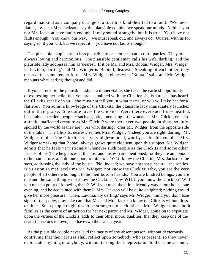regard mankind as a company of angels; a fourth is kind−hearted to a fault. 'We never flatter, my dear Mrs. Jackson,' say the plausible couple; 'we speak our minds. Neither you nor Mr. Jackson have faults enough. It may sound strangely, but it is true. You have not faults enough. You know our way, − we must speak out, and always do. Quarrel with us for saying so, if you will; but we repeat it, – you have not faults enough!'

 The plausible couple are no less plausible to each other than to third parties. They are always loving and harmonious. The plausible gentleman calls his wife 'darling,' and the plausible lady addresses him as 'dearest.' If it be Mr. and Mrs. Bobtail Widger, Mrs. Widger is 'Lavinia, darling,' and Mr. Widger is 'Bobtail, dearest.' Speaking of each other, they observe the same tender form. Mrs. Widger relates what 'Bobtail' said, and Mr. Widger recounts what 'darling' thought and did.

 If you sit next to the plausible lady at a dinner−table, she takes the earliest opportunity of expressing her belief that you are acquainted with the Clickits; she is sure she has heard the Clickits speak of you − she must not tell you in what terms, or you will take her for a flatterer. You admit a knowledge of the Clickits; the plausible lady immediately launches out in their praise. She quite loves the Clickits. Were there ever such true− hearted, hospitable, excellent people − such a gentle, interesting little woman as Mrs. Clickit, or such a frank, unaffected creature as Mr. Clickit? were there ever two people, in short, so little spoiled by the world as they are? 'As who, darling?' cries Mr. Widger, from the opposite side of the table. 'The Clickits, dearest,' replies Mrs. Widger. 'Indeed you are right, darling,' Mr. Widger rejoins; 'the Clickits are a very high−minded, worthy, estimable couple.' Mrs. Widger remarking that Bobtail always grows quite eloquent upon this subject, Mr. Widger admits that he feels very strongly whenever such people as the Clickits and some other friends of his (here he glances at the host and hostess) are mentioned; for they are an honour to human nature, and do one good to think of. 'YOU know the Clickits, Mrs. Jackson?' he says, addressing the lady of the house. 'No, indeed; we have not that pleasure,' she replies. 'You astonish me!' exclaims Mr. Widger: 'not know the Clickits! why, you are the very people of all others who ought to be their bosom friends. You are kindred beings; you are one and the same thing:− not know the Clickits! Now **WILL** you know the Clickits? Will you make a point of knowing them? Will you meet them in a friendly way at our house one evening, and be acquainted with them?' Mrs. Jackson will be quite delighted; nothing would give her more pleasure. 'Then, Lavinia, my darling,' says Mr. Widger, 'mind you don't lose sight of that; now, pray take care that Mr. and Mrs. Jackson know the Clickits without loss of time. Such people ought not to be strangers to each other.' Mrs. Widger books both families as the centre of attraction for her next party; and Mr. Widger, going on to expatiate upon the virtues of the Clickits, adds to their other moral qualities, that they keep one of the neatest phaetons in town, and have two thousand a year.

 As the plausible couple never laud the merits of any absent person, without dexterously contriving that their praises shall reflect upon somebody who is present, so they never depreciate anything or anybody, without turning their depreciation to the same account.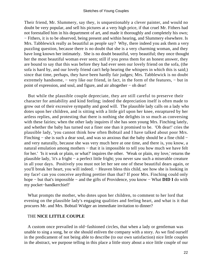Their friend, Mr. Slummery, say they, is unquestionably a clever painter, and would no doubt be very popular, and sell his pictures at a very high price, if that cruel Mr. Fithers had not forestalled him in his department of art, and made it thoroughly and completely his own; − Fithers, it is to be observed, being present and within hearing, and Slummery elsewhere. Is Mrs. Tabblewick really as beautiful as people say? Why, there indeed you ask them a very puzzling question, because there is no doubt that she is a very charming woman, and they have long known her intimately. She is no doubt beautiful, very beautiful; they once thought her the most beautiful woman ever seen; still if you press them for an honest answer, they are bound to say that this was before they had ever seen our lovely friend on the sofa, (the sofa is hard by, and our lovely friend can't help hearing the whispers in which this is said;) since that time, perhaps, they have been hardly fair judges; Mrs. Tabblewick is no doubt extremely handsome, – very like our friend, in fact, in the form of the features, – but in point of expression, and soul, and figure, and air altogether − oh dear!

 But while the plausible couple depreciate, they are still careful to preserve their character for amiability and kind feeling; indeed the depreciation itself is often made to grow out of their excessive sympathy and good will. The plausible lady calls on a lady who dotes upon her children, and is sitting with a little girl upon her knee, enraptured by her artless replies, and protesting that there is nothing she delights in so much as conversing with these fairies; when the other lady inquires if she has seen young Mrs. Finching lately, and whether the baby has turned out a finer one than it promised to be. 'Oh dear!' cries the plausible lady, 'you cannot think how often Bobtail and I have talked about poor Mrs. Finching − she is such a dear soul, and was so anxious that the baby should be a fine child − and very naturally, because she was very much here at one time, and there is, you know, a natural emulation among mothers – that it is impossible to tell you how much we have felt for her.' 'Is it weak or plain, or what?' inquires the other. 'Weak or plain, my love,' returns the plausible lady, 'it's a fright − a perfect little fright; you never saw such a miserable creature in all your days. Positively you must not let her see one of these beautiful dears again, or you'll break her heart, you will indeed. − Heaven bless this child, see how she is looking in my face! can you conceive anything prettier than that? If poor Mrs. Finching could only hope − but that's impossible − and the gifts of Providence, you know − What **DID I** do with my pocket−handkerchief!'

 What prompts the mother, who dotes upon her children, to comment to her lord that evening on the plausible lady's engaging qualities and feeling heart, and what is it that procures Mr. and Mrs. Bobtail Widger an immediate invitation to dinner?

#### THE **NICE LITTLE COUPLE**

 A custom once prevailed in old−fashioned circles, that when a lady or gentleman was unable to sing a song, he or she should enliven the company with a story. As we find ourself in the predicament of not being able to describe (to our own satisfaction) nice little couples in the abstract, we purpose telling in this place a little story about a nice little couple of our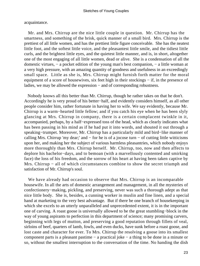#### acquaintance.

 Mr. and Mrs. Chirrup are the nice little couple in question. Mr. Chirrup has the smartness, and something of the brisk, quick manner of a small bird. Mrs. Chirrup is the prettiest of all little women, and has the prettiest little figure conceivable. She has the neatest little foot, and the softest little voice, and the pleasantest little smile, and the tidiest little curls, and the brightest little eyes, and the quietest little manner, and is, in short, altogether one of the most engaging of all little women, dead or alive. She is a condensation of all the domestic virtues, − a pocket edition of the young man's best companion, − a little woman at a very high pressure, with an amazing quantity of goodness and usefulness in an exceedingly small space. Little as she is, Mrs. Chirrup might furnish forth matter for the moral equipment of a score of housewives, six feet high in their stockings − if, in the presence of ladies, we may be allowed the expression − and of corresponding robustness.

 Nobody knows all this better than Mr. Chirrup, though he rather takes on that he don't. Accordingly he is very proud of his better−half, and evidently considers himself, as all other people consider him, rather fortunate in having her to wife. We say evidently, because Mr. Chirrup is a warm−hearted little fellow; and if you catch his eye when he has been slyly glancing at Mrs. Chirrup in company, there is a certain complacent twinkle in it, accompanied, perhaps, by a half−expressed toss of the head, which as clearly indicates what has been passing in his mind as if he had put it into words, and shouted it out through a speaking−trumpet. Moreover, Mr. Chirrup has a particularly mild and bird−like manner of calling Mrs. Chirrup 'my dear;' and − for he is of a jocose turn − of cutting little witticisms upon her, and making her the subject of various harmless pleasantries, which nobody enjoys more thoroughly than Mrs. Chirrup herself. Mr. Chirrup, too, now and then affects to deplore his bachelor−days, and to bemoan (with a marvellously contented and smirking face) the loss of his freedom, and the sorrow of his heart at having been taken captive by Mrs. Chirrup – all of which circumstances combine to show the secret triumph and satisfaction of Mr. Chirrup's soul.

 We have already had occasion to observe that Mrs. Chirrup is an incomparable housewife. In all the arts of domestic arrangement and management, in all the mysteries of confectionery−making, pickling, and preserving, never was such a thorough adept as that nice little body. She is, besides, a cunning worker in muslin and fine linen, and a special hand at marketing to the very best advantage. But if there be one branch of housekeeping in which she excels to an utterly unparalleled and unprecedented extent, it is in the important one of carving. A roast goose is universally allowed to be the great stumbling−block in the way of young aspirants to perfection in this department of science; many promising carvers, beginning with legs of mutton, and preserving a good reputation through fillets of veal, sirloins of beef, quarters of lamb, fowls, and even ducks, have sunk before a roast goose, and lost caste and character for ever. To Mrs. Chirrup the resolving a goose into its smallest component parts is a pleasant pastime − a practical joke − a thing to be done in a minute or so, without the smallest interruption to the conversation of the time. No handing the dish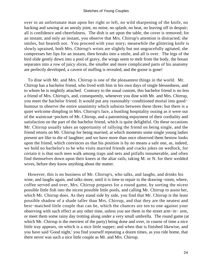#### Sketches of Young Couples

over to an unfortunate man upon her right or left, no wild sharpening of the knife, no hacking and sawing at an unruly joint, no noise, no splash, no heat, no leaving off in despair; all is confidence and cheerfulness. The dish is set upon the table, the cover is removed; for an instant, and only an instant, you observe that Mrs. Chirrup's attention is distracted; she smiles, but heareth not. You proceed with your story; meanwhile the glittering knife is slowly upraised, both Mrs. Chirrup's wrists are slightly but not ungracefully agitated, she compresses her lips for an instant, then breaks into a smile, and all is over. The legs of the bird slide gently down into a pool of gravy, the wings seem to melt from the body, the breast separates into a row of juicy slices, the smaller and more complicated parts of his anatomy are perfectly developed, a cavern of stuffing is revealed, and the goose is gone!

 To dine with Mr. and Mrs. Chirrup is one of the pleasantest things in the world. Mr. Chirrup has a bachelor friend, who lived with him in his own days of single blessedness, and to whom he is mightily attached. Contrary to the usual custom, this bachelor friend is no less a friend of Mrs. Chirrup's, and, consequently, whenever you dine with Mr. and Mrs. Chirrup, you meet the bachelor friend. It would put any reasonably−conditioned mortal into good− humour to observe the entire unanimity which subsists between these three; but there is a quiet welcome dimpling in Mrs. Chirrup's face, a bustling hospitality oozing as it were out of the waistcoat−pockets of Mr. Chirrup, and a patronising enjoyment of their cordiality and satisfaction on the part of the bachelor friend, which is quite delightful. On these occasions Mr. Chirrup usually takes an opportunity of rallying the friend on being single, and the friend retorts on Mr. Chirrup for being married, at which moments some single young ladies present are like to die of laughter; and we have more than once observed them bestow looks upon the friend, which convinces us that his position is by no means a safe one, as, indeed, we hold no bachelor's to be who visits married friends and cracks jokes on wedlock, for certain it is that such men walk among traps and nets and pitfalls innumerable, and often find themselves down upon their knees at the altar rails, taking M. or N. for their wedded wives, before they know anything about the matter.

 However, this is no business of Mr. Chirrup's, who talks, and laughs, and drinks his wine, and laughs again, and talks more, until it is time to repair to the drawing−room, where, coffee served and over, Mrs. Chirrup prepares for a round game, by sorting the nicest possible little fish into the nicest possible little pools, and calling Mr. Chirrup to assist her, which Mr. Chirrup does. As they stand side by side, you find that Mr. Chirrup is the least possible shadow of a shade taller than Mrs. Chirrup, and that they are the neatest and best−matched little couple that can be, which the chances are ten to one against your observing with such effect at any other time, unless you see them in the street arm−in− arm, or meet them some rainy day trotting along under a very small umbrella. The round game (at which Mr. Chirrup is the merriest of the party) being done and over, in course of time a nice little tray appears, on which is a nice little supper; and when that is finished likewise, and you have said 'Good night,' you find yourself repeating a dozen times, as you ride home, that there never was such a nice little couple as Mr. and Mrs. Chirrup.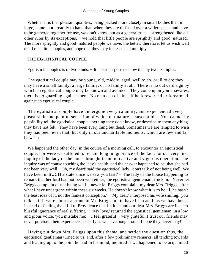Whether it is that pleasant qualities, being packed more closely in small bodies than in large, come more readily to hand than when they are diffused over a wider space, and have to be gathered together for use, we don't know, but as a general rule, − strengthened like all other rules by its exceptions, − we hold that little people are sprightly and good−natured. The more sprightly and good−natured people we have, the better; therefore, let us wish well to all nice little couples, and hope that they may increase and multiply.

#### THE **EGOTISTICAL COUPLE**

Egotism in couples is of two kinds. − It is our purpose to show this by two examples.

 The egotistical couple may be young, old, middle−aged, well to do, or ill to do; they may have a small family, a large family, or no family at all. There is no outward sign by which an egotistical couple may be known and avoided. They come upon you unawares; there is no guarding against them. No man can of himself be forewarned or forearmed against an egotistical couple.

 The egotistical couple have undergone every calamity, and experienced every pleasurable and painful sensation of which our nature is susceptible. You cannot by possibility tell the egotistical couple anything they don't know, or describe to them anything they have not felt. They have been everything but dead. Sometimes we are tempted to wish they had been even that, but only in our uncharitable moments, which are few and far between.

 We happened the other day, in the course of a morning call, to encounter an egotistical couple, nor were we suffered to remain long in ignorance of the fact, for our very first inquiry of the lady of the house brought them into active and vigorous operation. The inquiry was of course touching the lady's health, and the answer happened to be, that she had not been very well. 'Oh, my dear!' said the egotistical lady, 'don't talk of not being well. We have been in **SUCH a** state since we saw you last!' − The lady of the house happening to remark that her lord had not been well either, the egotistical gentleman struck in: 'Never let Briggs complain of not being well − never let Briggs complain, my dear Mrs. Briggs, after what I have undergone within these six weeks. He doesn't know what it is to be ill, he hasn't the least idea of it; not the faintest conception.' − 'My dear,' interposed his wife smiling, 'you talk as if it were almost a crime in Mr. Briggs not to have been as ill as we have been, instead of feeling thankful to Providence that both he and our dear Mrs. Briggs are in such blissful ignorance of real suffering.' − 'My love,' returned the egotistical gentleman, in a low and pious voice, 'you mistake me; − I feel grateful − very grateful. I trust our friends may never purchase their experience as dearly as we have bought ours; I hope they never may!'

 Having put down Mrs. Briggs upon this theme, and settled the question thus, the egotistical gentleman turned to us, and, after a few preliminary remarks, all tending towards and leading up to the point he had in his mind, inquired if we happened to be acquainted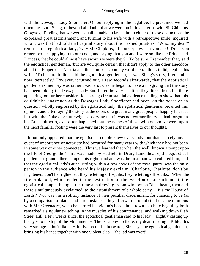with the Dowager Lady Snorflerer. On our replying in the negative, he presumed we had often met Lord Slang, or beyond all doubt, that we were on intimate terms with Sir Chipkins Glogwog. Finding that we were equally unable to lay claim to either of these distinctions, he expressed great astonishment, and turning to his wife with a retrospective smile, inquired who it was that had told that capital story about the mashed potatoes. 'Who, my dear?' returned the egotistical lady, 'why Sir Chipkins, of course; how can you ask! Don't you remember his applying it to our cook, and saying that you and I were so like the Prince and Princess, that he could almost have sworn we were they?' 'To be sure, I remember that,' said the egotistical gentleman, 'but are you quite certain that didn't apply to the other anecdote about the Emperor of Austria and the pump?' 'Upon my word then, I think it did,' replied his wife. 'To be sure it did,' said the egotistical gentleman, 'it was Slang's story, I remember now, perfectly.' However, it turned out, a few seconds afterwards, that the egotistical gentleman's memory was rather treacherous, as he began to have a misgiving that the story had been told by the Dowager Lady Snorflerer the very last time they dined there; but there appearing, on further consideration, strong circumstantial evidence tending to show that this couldn't be, inasmuch as the Dowager Lady Snorflerer had been, on the occasion in question, wholly engrossed by the egotistical lady, the egotistical gentleman recanted this opinion; and after laying the story at the doors of a great many great people, happily left it at last with the Duke of Scuttlewig:− observing that it was not extraordinary he had forgotten his Grace hitherto, as it often happened that the names of those with whom we were upon the most familiar footing were the very last to present themselves to our thoughts.

 It not only appeared that the egotistical couple knew everybody, but that scarcely any event of importance or notoriety had occurred for many years with which they had not been in some way or other connected. Thus we learned that when the well−known attempt upon the life of George the Third was made by Hatfield in Drury Lane theatre, the egotistical gentleman's grandfather sat upon his right hand and was the first man who collared him; and that the egotistical lady's aunt, sitting within a few boxes of the royal party, was the only person in the audience who heard his Majesty exclaim, 'Charlotte, Charlotte, don't be frightened, don't be frightened; they're letting off squibs, they're letting off squibs.' When the fire broke out, which ended in the destruction of the two Houses of Parliament, the egotistical couple, being at the time at a drawing−room window on Blackheath, then and there simultaneously exclaimed, to the astonishment of a whole party − 'It's the House of Lords!' Nor was this a solitary instance of their peculiar discernment, for chancing to be (as by a comparison of dates and circumstances they afterwards found) in the same omnibus with Mr. Greenacre, when he carried his victim's head about town in a blue bag, they both remarked a singular twitching in the muscles of his countenance; and walking down Fish Street Hill, a few weeks since, the egotistical gentleman said to his lady − slightly casting up his eyes to the top of the Monument – 'There's a boy up there, my dear, reading a Bible. It's very strange. I don't like it. − In five seconds afterwards, Sir,' says the egotistical gentleman, bringing his hands together with one violent clap − 'the lad was over!'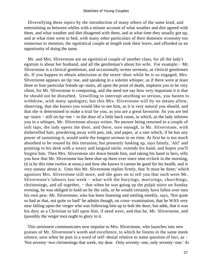Diversifying these topics by the introduction of many others of the same kind, and entertaining us between whiles with a minute account of what weather and diet agreed with them, and what weather and diet disagreed with them, and at what time they usually got up, and at what time went to bed, with many other particulars of their domestic economy too numerous to mention; the egotistical couple at length took their leave, and afforded us an opportunity of doing the same.

 Mr. and Mrs. Sliverstone are an egotistical couple of another class, for all the lady's egotism is about her husband, and all the gentleman's about his wife. For example:− Mr. Sliverstone is a clerical gentleman, and occasionally writes sermons, as clerical gentlemen do. If you happen to obtain admission at the street−door while he is so engaged, Mrs. Sliverstone appears on tip−toe, and speaking in a solemn whisper, as if there were at least three or four particular friends up−stairs, all upon the point of death, implores you to be very silent, for Mr. Sliverstone is composing, and she need not say how very important it is that he should not be disturbed. Unwilling to interrupt anything so serious, you hasten to withdraw, with many apologies; but this Mrs. Sliverstone will by no means allow, observing, that she knows you would like to see him, as it is very natural you should, and that she is determined to make a trial for you, as you are a great favourite. So you are led up−stairs − still on tip−toe − to the door of a little back room, in which, as the lady informs you in a whisper, Mr. Sliverstone always writes. No answer being returned to a couple of soft taps, the lady opens the door, and there, sure enough, is Mr. Sliverstone, with dishevelled hair, powdering away with pen, ink, and paper, at a rate which, if he has any power of sustaining it, would settle the longest sermon in no time. At first he is too much absorbed to be roused by this intrusion; but presently looking up, says faintly, 'Ah!' and pointing to his desk with a weary and languid smile, extends his hand, and hopes you'll forgive him. Then Mrs. Sliverstone sits down beside him, and taking his hand in hers, tells you how that Mr. Sliverstone has been shut up there ever since nine o'clock in the morning, (it is by this time twelve at noon,) and how she knows it cannot be good for his health, and is very uneasy about it. Unto this Mr. Sliverstone replies firmly, that 'It must be done;' which agonizes Mrs. Sliverstone still more, and she goes on to tell you that such were Mr. Sliverstone's labours last week − what with the buryings, marryings, churchings, christenings, and all together, – that when he was going up the pulpit stairs on Sunday evening, he was obliged to hold on by the rails, or he would certainly have fallen over into his own pew. Mr. Sliverstone, who has been listening and smiling meekly, says, 'Not quite so bad as that, not quite so bad!' he admits though, on cross−examination, that he WAS very near falling upon the verger who was following him up to bolt the door; but adds, that it was his duty as a Christian to fall upon him, if need were, and that he, Mr. Sliverstone, and (possibly the verger too) ought to glory in it.

 This sentiment communicates new impulse to Mrs. Sliverstone, who launches into new praises of Mr. Sliverstone's worth and excellence, to which he listens in the same meek silence, save when he puts in a word of self-denial relative to some question of fact, as − 'Not seventy−two christenings that week, my dear. Only seventy−one, only seventy−one.' At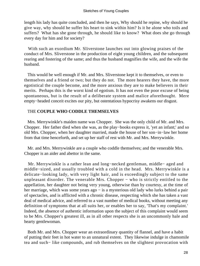length his lady has quite concluded, and then he says, Why should he repine, why should he give way, why should he suffer his heart to sink within him? Is it he alone who toils and suffers? What has she gone through, he should like to know? What does she go through every day for him and for society?

 With such an exordium Mr. Sliverstone launches out into glowing praises of the conduct of Mrs. Sliverstone in the production of eight young children, and the subsequent rearing and fostering of the same; and thus the husband magnifies the wife, and the wife the husband.

 This would be well enough if Mr. and Mrs. Sliverstone kept it to themselves, or even to themselves and a friend or two; but they do not. The more hearers they have, the more egotistical the couple become, and the more anxious they are to make believers in their merits. Perhaps this is the worst kind of egotism. It has not even the poor excuse of being spontaneous, but is the result of a deliberate system and malice aforethought. Mere empty−headed conceit excites our pity, but ostentatious hypocrisy awakens our disgust.

#### THE **COUPLE WHO CODDLE THEMSELVES**

 Mrs. Merrywinkle's maiden name was Chopper. She was the only child of Mr. and Mrs. Chopper. Her father died when she was, as the play−books express it, 'yet an infant;' and so old Mrs. Chopper, when her daughter married, made the house of her son−in−law her home from that time henceforth, and set up her staff of rest with Mr. and Mrs. Merrywinkle.

 Mr. and Mrs. Merrywinkle are a couple who coddle themselves; and the venerable Mrs. Chopper is an aider and abettor in the same.

 Mr. Merrywinkle is a rather lean and long−necked gentleman, middle− aged and middle−sized, and usually troubled with a cold in the head. Mrs. Merrywinkle is a delicate−looking lady, with very light hair, and is exceedingly subject to the same unpleasant disorder. The venerable Mrs. Chopper – who is strictly entitled to the appellation, her daughter not being very young, otherwise than by courtesy, at the time of her marriage, which was some years ago − is a mysterious old lady who lurks behind a pair of spectacles, and is afflicted with a chronic disease, respecting which she has taken a vast deal of medical advice, and referred to a vast number of medical books, without meeting any definition of symptoms that at all suits her, or enables her to say, 'That's my complaint.' Indeed, the absence of authentic information upon the subject of this complaint would seem to be Mrs. Chopper's greatest ill, as in all other respects she is an uncommonly hale and hearty gentlewoman.

 Both Mr. and Mrs. Chopper wear an extraordinary quantity of flannel, and have a habit of putting their feet in hot water to an unnatural extent. They likewise indulge in chamomile tea and such− like compounds, and rub themselves on the slightest provocation with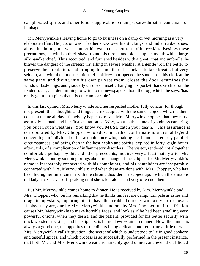camphorated spirits and other lotions applicable to mumps, sore−throat, rheumatism, or lumbago.

 Mr. Merrywinkle's leaving home to go to business on a damp or wet morning is a very elaborate affair. He puts on wash−leather socks over his stockings, and India−rubber shoes above his boots, and wears under his waistcoat a cuirass of hare−skin. Besides these precautions, he winds a thick shawl round his throat, and blocks up his mouth with a large silk handkerchief. Thus accoutred, and furnished besides with a great−coat and umbrella, he braves the dangers of the streets; travelling in severe weather at a gentle trot, the better to preserve the circulation, and bringing his mouth to the surface to take breath, but very seldom, and with the utmost caution. His office−door opened, he shoots past his clerk at the same pace, and diving into his own private room, closes the door, examines the window−fastenings, and gradually unrobes himself: hanging his pocket−handkerchief on the fender to air, and determining to write to the newspapers about the fog, which, he says, 'has really got to that pitch that it is quite unbearable.'

 In this last opinion Mrs. Merrywinkle and her respected mother fully concur; for though not present, their thoughts and tongues are occupied with the same subject, which is their constant theme all day. If anybody happens to call, Mrs. Merrywinkle opines that they must assuredly be mad, and her first salutation is, 'Why, what in the name of goodness can bring you out in such weather? You know you **MUST** catch your death.' This assurance is corroborated by Mrs. Chopper, who adds, in further confirmation, a dismal legend concerning an individual of her acquaintance who, making a call under precisely parallel circumstances, and being then in the best health and spirits, expired in forty−eight hours afterwards, of a complication of inflammatory disorders. The visitor, rendered not altogether comfortable perhaps by this and other precedents, inquires very affectionately after Mr. Merrywinkle, but by so doing brings about no change of the subject; for Mr. Merrywinkle's name is inseparably connected with his complaints, and his complaints are inseparably connected with Mrs. Merrywinkle's; and when these are done with, Mrs. Chopper, who has been biding her time, cuts in with the chronic disorder − a subject upon which the amiable old lady never leaves off speaking until she is left alone, and very often not then.

 But Mr. Merrywinkle comes home to dinner. He is received by Mrs. Merrywinkle and Mrs. Chopper, who, on his remarking that he thinks his feet are damp, turn pale as ashes and drag him up−stairs, imploring him to have them rubbed directly with a dry coarse towel. Rubbed they are, one by Mrs. Merrywinkle and one by Mrs. Chopper, until the friction causes Mr. Merrywinkle to make horrible faces, and look as if he had been smelling very powerful onions; when they desist, and the patient, provided for his better security with thick worsted stockings and list slippers, is borne down−stairs to dinner. Now, the dinner is always a good one, the appetites of the diners being delicate, and requiring a little of what Mrs. Merrywinkle calls 'tittivation;' the secret of which is understood to lie in good cookery and tasteful spices, and which process is so successfully performed in the present instance, that both Mr. and Mrs. Merrywinkle eat a remarkably good dinner, and even the afflicted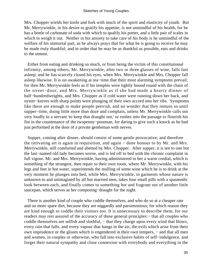Mrs. Chopper wields her knife and fork with much of the spirit and elasticity of youth. But Mr. Merrywinkle, in his desire to gratify his appetite, is not unmindful of his health, for he has a bottle of carbonate of soda with which to qualify his porter, and a little pair of scales in which to weigh it out. Neither in his anxiety to take care of his body is he unmindful of the welfare of his immortal part, as he always prays that for what he is going to receive he may be made truly thankful; and in order that he may be as thankful as possible, eats and drinks to the utmost.

 Either from eating and drinking so much, or from being the victim of this constitutional infirmity, among others, Mr. Merrywinkle, after two or three glasses of wine, falls fast asleep; and he has scarcely closed his eyes, when Mrs. Merrywinkle and Mrs. Chopper fall asleep likewise. It is on awakening at tea−time that their most alarming symptoms prevail; for then Mr. Merrywinkle feels as if his temples were tightly bound round with the chain of the street−door, and Mrs. Merrywinkle as if she had made a hearty dinner of half−hundredweights, and Mrs. Chopper as if cold water were running down her back, and oyster−knives with sharp points were plunging of their own accord into her ribs. Symptoms like these are enough to make people peevish, and no wonder that they remain so until supper−time, doing little more than doze and complain, unless Mr. Merrywinkle calls out very loudly to a servant 'to keep that draught out,' or rushes into the passage to flourish his fist in the countenance of the twopenny−postman, for daring to give such a knock as he had just performed at the door of a private gentleman with nerves.

 Supper, coming after dinner, should consist of some gentle provocative; and therefore the tittivating art is again in requisition, and again − done honour to by Mr. and Mrs. Merrywinkle, still comforted and abetted by Mrs. Chopper. After supper, it is ten to one but the last−named old lady becomes worse, and is led off to bed with the chronic complaint in full vigour. Mr. and Mrs. Merrywinkle, having administered to her a warm cordial, which is something of the strongest, then repair to their own room, where Mr. Merrywinkle, with his legs and feet in hot water, superintends the mulling of some wine which he is to drink at the very moment he plunges into bed, while Mrs. Merrywinkle, in garments whose nature is unknown to and unimagined by all but married men, takes four small pills with a spasmodic look between each, and finally comes to something hot and fragrant out of another little saucepan, which serves as her composing−draught for the night.

 There is another kind of couple who coddle themselves, and who do so at a cheaper rate and on more spare diet, because they are niggardly and parsimonious; for which reason they are kind enough to coddle their visitors too. It is unnecessary to describe them, for our readers may rest assured of the accuracy of these general principles:− that all couples who coddle themselves are selfish and slothful, – that they charge upon every wind that blows, every rain that falls, and every vapour that hangs in the air, the evils which arise from their own imprudence or the gloom which is engendered in their own tempers, − and that all men and women, in couples or otherwise, who fall into exclusive habits of self−indulgence, and forget their natural sympathy and close connexion with everybody and everything in the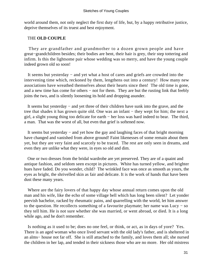world around them, not only neglect the first duty of life, but, by a happy retributive justice, deprive themselves of its truest and best enjoyment.

#### THE **OLD COUPLE**

 They are grandfather and grandmother to a dozen grown people and have great−grandchildren besides; their bodies are bent, their hair is grey, their step tottering and infirm. Is this the lightsome pair whose wedding was so merry, and have the young couple indeed grown old so soon!

 It seems but yesterday − and yet what a host of cares and griefs are crowded into the intervening time which, reckoned by them, lengthens out into a century! How many new associations have wreathed themselves about their hearts since then! The old time is gone, and a new time has come for others − not for them. They are but the rusting link that feebly joins the two, and is silently loosening its hold and dropping asunder.

 It seems but yesterday − and yet three of their children have sunk into the grave, and the tree that shades it has grown quite old. One was an infant − they wept for him; the next a girl, a slight young thing too delicate for earth − her loss was hard indeed to bear. The third, a man. That was the worst of all, but even that grief is softened now.

 It seems but yesterday − and yet how the gay and laughing faces of that bright morning have changed and vanished from above ground! Faint likenesses of some remain about them yet, but they are very faint and scarcely to be traced. The rest are only seen in dreams, and even they are unlike what they were, in eyes so old and dim.

 One or two dresses from the bridal wardrobe are yet preserved. They are of a quaint and antique fashion, and seldom seen except in pictures. White has turned yellow, and brighter hues have faded. Do you wonder, child? The wrinkled face was once as smooth as yours, the eyes as bright, the shrivelled skin as fair and delicate. It is the work of hands that have been dust these many years.

 Where are the fairy lovers of that happy day whose annual return comes upon the old man and his wife, like the echo of some village bell which has long been silent? Let yonder peevish bachelor, racked by rheumatic pains, and quarrelling with the world, let him answer to the question. He recollects something of a favourite playmate; her name was Lucy − so they tell him. He is not sure whether she was married, or went abroad, or died. It is a long while ago, and he don't remember.

 Is nothing as it used to be; does no one feel, or think, or act, as in days of yore? Yes. There is an aged woman who once lived servant with the old lady's father, and is sheltered in an alms− house not far off. She is still attached to the family, and loves them all; she nursed the children in her lap, and tended in their sickness those who are no more. Her old mistress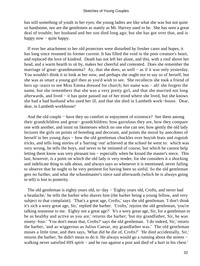has still something of youth in her eyes; the young ladies are like what she was but not quite so handsome, nor are the gentlemen as stately as Mr. Harvey used to be. She has seen a great deal of trouble; her husband and her son died long ago; but she has got over that, and is happy now – quite happy.

 If ever her attachment to her old protectors were disturbed by fresher cares and hopes, it has long since resumed its former current. It has filled the void in the poor creature's heart, and replaced the love of kindred. Death has not left her alone, and this, with a roof above her head, and a warm hearth to sit by, makes her cheerful and contented. Does she remember the marriage of great–grandmamma? Ay, that she does, as well – as if it was only yesterday. You wouldn't think it to look at her now, and perhaps she ought not to say so of herself, but she was as smart a young girl then as you'd wish to see. She recollects she took a friend of hers up−stairs to see Miss Emma dressed for church; her name was − ah! she forgets the name, but she remembers that she was a very pretty girl, and that she married not long afterwards, and lived − it has quite passed out of her mind where she lived, but she knows she had a bad husband who used her ill, and that she died in Lambeth work−house. Dear, dear, in Lambeth workhouse!

 And the old couple − have they no comfort or enjoyment of existence? See them among their grandchildren and great− grandchildren; how garrulous they are, how they compare one with another, and insist on likenesses which no one else can see; how gently the old lady lectures the girls on points of breeding and decorum, and points the moral by anecdotes of herself in her young days − how the old gentleman chuckles over boyish feats and roguish tricks, and tells long stories of a 'barring−out' achieved at the school he went to: which was very wrong, he tells the boys, and never to be imitated of course, but which he cannot help letting them know was very pleasant too − especially when he kissed the master's niece. This last, however, is a point on which the old lady is very tender, for she considers it a shocking and indelicate thing to talk about, and always says so whenever it is mentioned, never failing to observe that he ought to be very penitent for having been so sinful. So the old gentleman gets no further, and what the schoolmaster's niece said afterwards (which he is always going to tell) is lost to posterity.

The old gentleman is eighty years old, to−day − 'Eighty years old, Crofts, and never had a headache,' he tells the barber who shaves him (the barber being a young fellow, and very subject to that complaint). 'That's a great age, Crofts,' says the old gentleman. 'I don't think it's sich a wery great age, Sir,' replied the barber. 'Crofts,' rejoins the old gentleman, 'you're talking nonsense to me. Eighty not a great age?' 'It's a wery great age, Sir, for a gentleman to be as healthy and active as you are,' returns the barber; 'but my grandfather, Sir, he was ninety−four.' 'You don't mean that, Crofts?' says the old gentleman. 'I do indeed, Sir,' retorts the barber, 'and as wiggerous as Julius Caesar, my grandfather was.' The old gentleman muses a little time, and then says, 'What did he die of, Crofts?' 'He died accidentally, Sir,' returns the barber; 'he didn't mean to do it. He always would go a running about the streets − walking never satisfied HIS spirit – and he run against a post and died of a hurt in his chest.'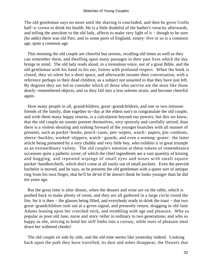The old gentleman says no more until the shaving is concluded, and then he gives Crofts half–a–crown to drink his health. He is a little doubtful of the barber's veracity afterwards, and telling the anecdote to the old lady, affects to make very light of it − though to be sure (he adds) there was old Parr, and in some parts of England, ninety−five or so is a common age, quite a common age.

 This morning the old couple are cheerful but serious, recalling old times as well as they can remember them, and dwelling upon many passages in their past lives which the day brings to mind. The old lady reads aloud, in a tremulous voice, out of a great Bible, and the old gentleman with his hand to his ear, listens with profound respect. When the book is closed, they sit silent for a short space, and afterwards resume their conversation, with a reference perhaps to their dead children, as a subject not unsuited to that they have just left. By degrees they are led to consider which of those who survive are the most like those dearly−remembered objects, and so they fall into a less solemn strain, and become cheerful again.

 How many people in all, grandchildren, great−grandchildren, and one or two intimate friends of the family, dine together to−day at the eldest son's to congratulate the old couple, and wish them many happy returns, is a calculation beyond our powers; but this we know, that the old couple no sooner present themselves, very sprucely and carefully attired, than there is a violent shouting and rushing forward of the younger branches with all manner of presents, such as pocket−books, pencil−cases, pen−wipers, watch− papers, pin−cushions, sleeve−buckles, worked−slippers, watch− guards, and even a nutmeg−grater: the latter article being presented by a very chubby and very little boy, who exhibits it in great triumph as an extraordinary variety. The old couple's emotion at these tokens of remembrance occasions quite a pathetic scene, of which the chief ingredients are a vast quantity of kissing and hugging, and repeated wipings of small eyes and noses with small square pocket−handkerchiefs, which don't come at all easily out of small pockets. Even the peevish bachelor is moved, and he says, as he presents the old gentleman with a queer sort of antique ring from his own finger, that he'll be de'ed if he doesn't think he looks younger than he did ten years ago.

 But the great time is after dinner, when the dessert and wine are on the table, which is pushed back to make plenty of room, and they are all gathered in a large circle round the fire, for it is then − the glasses being filled, and everybody ready to drink the toast − that two great−grandchildren rush out at a given signal, and presently return, dragging in old Jane Adams leaning upon her crutched stick, and trembling with age and pleasure. Who so popular as poor old Jane, nurse and story−teller in ordinary to two generations; and who so happy as she, striving to bend her stiff limbs into a curtsey, while tears of pleasure steal down her withered cheeks!

 The old couple sit side by side, and the old time seems like yesterday indeed. Looking back upon the path they have travelled, its dust and ashes disappear; the flowers that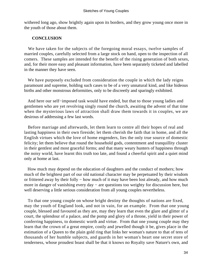withered long ago, show brightly again upon its borders, and they grow young once more in the youth of those about them.

### **CONCLUSION**

 We have taken for the subjects of the foregoing moral essays, twelve samples of married couples, carefully selected from a large stock on hand, open to the inspection of all comers. These samples are intended for the benefit of the rising generation of both sexes, and, for their more easy and pleasant information, have been separately ticketed and labelled in the manner they have seen.

We have purposely excluded from consideration the couple in which the lady reigns paramount and supreme, holding such cases to be of a very unnatural kind, and like hideous births and other monstrous deformities, only to be discreetly and sparingly exhibited.

 And here our self−imposed task would have ended, but that to those young ladies and gentlemen who are yet revolving singly round the church, awaiting the advent of that time when the mysterious laws of attraction shall draw them towards it in couples, we are desirous of addressing a few last words.

 Before marriage and afterwards, let them learn to centre all their hopes of real and lasting happiness in their own fireside; let them cherish the faith that in home, and all the English virtues which the love of home engenders, lies the only true source of domestic felicity; let them believe that round the household gods, contentment and tranquillity cluster in their gentlest and most graceful forms; and that many weary hunters of happiness through the noisy world, have learnt this truth too late, and found a cheerful spirit and a quiet mind only at home at last.

 How much may depend on the education of daughters and the conduct of mothers; how much of the brightest part of our old national character may be perpetuated by their wisdom or frittered away by their folly − how much of it may have been lost already, and how much more in danger of vanishing every day − are questions too weighty for discussion here, but well deserving a little serious consideration from all young couples nevertheless.

 To that one young couple on whose bright destiny the thoughts of nations are fixed, may the youth of England look, and not in vain, for an example. From that one young couple, blessed and favoured as they are, may they learn that even the glare and glitter of a court, the splendour of a palace, and the pomp and glory of a throne, yield in their power of conferring happiness, to domestic worth and virtue. From that one young couple may they learn that the crown of a great empire, costly and jewelled though it be, gives place in the estimation of a Queen to the plain gold ring that links her woman's nature to that of tens of thousands of her humble subjects, and guards in her woman's heart one secret store of tenderness, whose proudest boast shall be that it knows no Royalty save Nature's own, and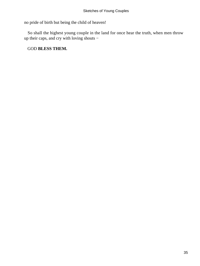no pride of birth but being the child of heaven!

 So shall the highest young couple in the land for once hear the truth, when men throw up their caps, and cry with loving shouts −

GOD **BLESS THEM.**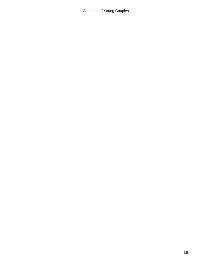Sketches of Young Couples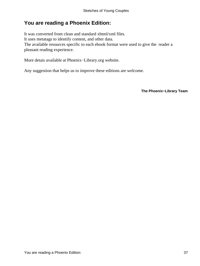## <span id="page-37-0"></span>**You are reading a Phoenix Edition:**

It was converted from clean and standard xhtml/xml files. It uses metatags to identify content, and other data. The available resources specific to each ebook format were used to give the reader a pleasant reading experience.

More detais available at Phoenix−Library.org website.

Any suggestion that helps us to improve these editions are welcome.

**The Phoenix−Library Team**